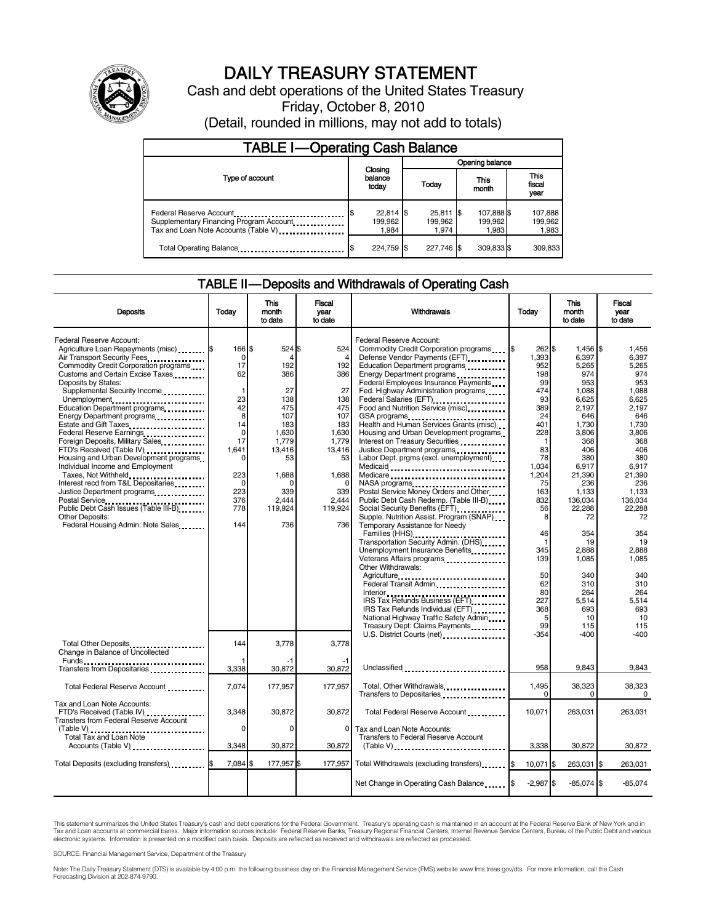

# DAILY TREASURY STATEMENT

Cash and debt operations of the United States Treasury Friday, October 8, 2010 (Detail, rounded in millions, may not add to totals)

| <b>TABLE I-Operating Cash Balance</b>                                                                      |                                 |                                 |                                |                               |  |  |  |
|------------------------------------------------------------------------------------------------------------|---------------------------------|---------------------------------|--------------------------------|-------------------------------|--|--|--|
|                                                                                                            |                                 | Opening balance                 |                                |                               |  |  |  |
| Type of account                                                                                            | Closing<br>balance<br>today     | Today                           | This<br>month                  | <b>This</b><br>fiscal<br>year |  |  |  |
| Federal Reserve Account<br>Supplementary Financing Program Account<br>Tax and Loan Note Accounts (Table V) | $22,814$ \$<br>199.962<br>1.984 | $25,811$ \$<br>199,962<br>1.974 | 107,888 \$<br>199,962<br>1.983 | 107,888<br>199,962<br>1,983   |  |  |  |
| Total Operating Balance                                                                                    | 224,759 \$                      | 227.746 \$                      | 309,833 \$                     | 309.833                       |  |  |  |

#### TABLE II — Deposits and Withdrawals of Operating Cash

| <b>Deposits</b>                                                                                                                                                                                                                                                                                                                                                                                                                                                                                                                                                                                                                                                                                                           | Today                                                                                                                                 | This<br>month<br>to date                                                                                                                      | Fiscal<br>vear<br>to date                                                                                                                    | Withdrawals                                                                                                                                                                                                                                                                                                                                                                                                                                                                                                                                                                                                                                                                                                                                                                                                                                                                                                                                                                                                                                                         | Today                                                                                                                                                                                                                                                    | This<br>month<br>to date                                                                                                                                                                                                                                                    | Fiscal<br>year<br>to date                                                                                                                                                                                                                                             |
|---------------------------------------------------------------------------------------------------------------------------------------------------------------------------------------------------------------------------------------------------------------------------------------------------------------------------------------------------------------------------------------------------------------------------------------------------------------------------------------------------------------------------------------------------------------------------------------------------------------------------------------------------------------------------------------------------------------------------|---------------------------------------------------------------------------------------------------------------------------------------|-----------------------------------------------------------------------------------------------------------------------------------------------|----------------------------------------------------------------------------------------------------------------------------------------------|---------------------------------------------------------------------------------------------------------------------------------------------------------------------------------------------------------------------------------------------------------------------------------------------------------------------------------------------------------------------------------------------------------------------------------------------------------------------------------------------------------------------------------------------------------------------------------------------------------------------------------------------------------------------------------------------------------------------------------------------------------------------------------------------------------------------------------------------------------------------------------------------------------------------------------------------------------------------------------------------------------------------------------------------------------------------|----------------------------------------------------------------------------------------------------------------------------------------------------------------------------------------------------------------------------------------------------------|-----------------------------------------------------------------------------------------------------------------------------------------------------------------------------------------------------------------------------------------------------------------------------|-----------------------------------------------------------------------------------------------------------------------------------------------------------------------------------------------------------------------------------------------------------------------|
| Federal Reserve Account:<br>Agriculture Loan Repayments (misc) \$<br>Air Transport Security Fees<br>Commodity Credit Corporation programs<br>Customs and Certain Excise Taxes<br>Deposits by States:<br>Supplemental Security Income<br>Unemployment<br>Education Department programs<br>Energy Department programs<br>Estate and Gift Taxes<br>Federal Reserve Earnings<br>Foreign Deposits, Military Sales<br>FTD's Received (Table IV)<br>Housing and Urban Development programs<br>Individual Income and Employment<br>Taxes, Not Withheld<br>Interest recd from T&L Depositaries<br>Justice Department programs<br><br>Public Debt Cash Issues (Table III-B)<br>Other Deposits:<br>Federal Housing Admin: Note Sales | 166 \$<br>0<br>17<br>62<br>1<br>23<br>42<br>8<br>14<br>$\mathbf 0$<br>17<br>1,641<br>0<br>223<br>$\Omega$<br>223<br>376<br>778<br>144 | 524 \$<br>4<br>192<br>386<br>27<br>138<br>475<br>107<br>183<br>1,630<br>1,779<br>13.416<br>53<br>1,688<br>0<br>339<br>2,444<br>119,924<br>736 | 524<br>192<br>386<br>27<br>138<br>475<br>107<br>183<br>1,630<br>1,779<br>13.416<br>53<br>1,688<br>$\Omega$<br>339<br>2,444<br>119,924<br>736 | Federal Reserve Account:<br>Commodity Credit Corporation programs<br>Defense Vendor Payments (EFT)<br>Education Department programs<br>Energy Department programs<br>Federal Employees Insurance Payments<br>Fed. Highway Administration programs<br>Federal Salaries (EFT)<br>Food and Nutrition Service (misc) [100]<br>GSA programs<br>Health and Human Services Grants (misc)<br>Housing and Urban Development programs<br>Interest on Treasury Securities<br>Justice Department programs<br>Labor Dept. prgms (excl. unemployment)<br>Medicaid<br>Medicare<br>Postal Service Money Orders and Other<br>Public Debt Cash Redemp. (Table III-B)<br>Social Security Benefits (EFT)<br>Supple. Nutrition Assist. Program (SNAP)<br>Temporary Assistance for Needy<br>Transportation Security Admin. (DHS)<br>Unemployment Insurance Benefits<br>Other Withdrawals:<br>Agriculture<br>Federal Transit Admin<br>IRS Tax Refunds Business (EFT)<br>IRS Tax Refunds Individual (EFT) [1999]<br>National Highway Traffic Safety Admin<br>Treasury Dept: Claims Payments | 1\$<br>262 \$<br>1.393<br>952<br>198<br>99<br>474<br>93<br>389<br>24<br>401<br>228<br>$\mathbf{1}$<br>83<br>78<br>1.034<br>1.204<br>75<br>163<br>832<br>56<br>8<br>46<br>$\mathbf{1}$<br>345<br>139<br>50<br>62<br>80<br>227<br>368<br>5<br>99<br>$-354$ | $1.456$ S<br>6.397<br>5,265<br>974<br>953<br>1.088<br>6,625<br>2,197<br>646<br>1,730<br>3,806<br>368<br>406<br>380<br>6,917<br>21,390<br>236<br>1,133<br>136,034<br>22.288<br>72<br>354<br>19<br>2,888<br>1,085<br>340<br>310<br>264<br>5,514<br>693<br>10<br>115<br>$-400$ | 1.456<br>6.397<br>5,265<br>974<br>953<br>1.088<br>6,625<br>2.197<br>646<br>1,730<br>3,806<br>368<br>406<br>380<br>6.917<br>21.390<br>236<br>1,133<br>136,034<br>22.288<br>72<br>354<br>19<br>2,888<br>1,085<br>340<br>310<br>264<br>5,514<br>693<br>10<br>115<br>-400 |
| Total Other Deposits<br>Change in Balance of Uncollected                                                                                                                                                                                                                                                                                                                                                                                                                                                                                                                                                                                                                                                                  | 144                                                                                                                                   | 3.778<br>-1                                                                                                                                   | 3.778<br>-1                                                                                                                                  | U.S. District Courts (net)                                                                                                                                                                                                                                                                                                                                                                                                                                                                                                                                                                                                                                                                                                                                                                                                                                                                                                                                                                                                                                          |                                                                                                                                                                                                                                                          |                                                                                                                                                                                                                                                                             |                                                                                                                                                                                                                                                                       |
| Transfers from Depositaries                                                                                                                                                                                                                                                                                                                                                                                                                                                                                                                                                                                                                                                                                               | 3.338                                                                                                                                 | 30.872                                                                                                                                        | 30.872                                                                                                                                       | Unclassified                                                                                                                                                                                                                                                                                                                                                                                                                                                                                                                                                                                                                                                                                                                                                                                                                                                                                                                                                                                                                                                        | 958                                                                                                                                                                                                                                                      | 9.843                                                                                                                                                                                                                                                                       | 9,843                                                                                                                                                                                                                                                                 |
| Total Federal Reserve Account                                                                                                                                                                                                                                                                                                                                                                                                                                                                                                                                                                                                                                                                                             | 7,074                                                                                                                                 | 177,957                                                                                                                                       | 177,957                                                                                                                                      | Total, Other Withdrawals<br>Transfers to Depositaries                                                                                                                                                                                                                                                                                                                                                                                                                                                                                                                                                                                                                                                                                                                                                                                                                                                                                                                                                                                                               | 1,495<br>$\Omega$                                                                                                                                                                                                                                        | 38,323<br>0                                                                                                                                                                                                                                                                 | 38,323<br>$\Omega$                                                                                                                                                                                                                                                    |
| Tax and Loan Note Accounts:<br>FTD's Received (Table IV)<br><b>Transfers from Federal Reserve Account</b><br>$(Table V)$                                                                                                                                                                                                                                                                                                                                                                                                                                                                                                                                                                                                  | 3,348<br>0                                                                                                                            | 30,872<br>$\Omega$                                                                                                                            | 30,872<br>$\Omega$                                                                                                                           | Total Federal Reserve Account<br>Tax and Loan Note Accounts:                                                                                                                                                                                                                                                                                                                                                                                                                                                                                                                                                                                                                                                                                                                                                                                                                                                                                                                                                                                                        | 10,071                                                                                                                                                                                                                                                   | 263,031                                                                                                                                                                                                                                                                     | 263,031                                                                                                                                                                                                                                                               |
| Total Tax and Loan Note<br>Accounts (Table V)                                                                                                                                                                                                                                                                                                                                                                                                                                                                                                                                                                                                                                                                             | 3,348                                                                                                                                 | 30,872                                                                                                                                        | 30,872                                                                                                                                       | Transfers to Federal Reserve Account<br>$(Table V)$                                                                                                                                                                                                                                                                                                                                                                                                                                                                                                                                                                                                                                                                                                                                                                                                                                                                                                                                                                                                                 | 3,338                                                                                                                                                                                                                                                    | 30,872                                                                                                                                                                                                                                                                      | 30,872                                                                                                                                                                                                                                                                |
|                                                                                                                                                                                                                                                                                                                                                                                                                                                                                                                                                                                                                                                                                                                           | 7,084 \$                                                                                                                              | 177,957 \$                                                                                                                                    | 177,957                                                                                                                                      |                                                                                                                                                                                                                                                                                                                                                                                                                                                                                                                                                                                                                                                                                                                                                                                                                                                                                                                                                                                                                                                                     |                                                                                                                                                                                                                                                          |                                                                                                                                                                                                                                                                             |                                                                                                                                                                                                                                                                       |
| Total Deposits (excluding transfers)                                                                                                                                                                                                                                                                                                                                                                                                                                                                                                                                                                                                                                                                                      |                                                                                                                                       |                                                                                                                                               |                                                                                                                                              | Total Withdrawals (excluding transfers)                                                                                                                                                                                                                                                                                                                                                                                                                                                                                                                                                                                                                                                                                                                                                                                                                                                                                                                                                                                                                             | I\$<br>10,071 \$                                                                                                                                                                                                                                         | 263,031 \$                                                                                                                                                                                                                                                                  | 263,031                                                                                                                                                                                                                                                               |
|                                                                                                                                                                                                                                                                                                                                                                                                                                                                                                                                                                                                                                                                                                                           |                                                                                                                                       |                                                                                                                                               |                                                                                                                                              | Net Change in Operating Cash Balance                                                                                                                                                                                                                                                                                                                                                                                                                                                                                                                                                                                                                                                                                                                                                                                                                                                                                                                                                                                                                                | $-2.987$ \$<br>\$                                                                                                                                                                                                                                        | $-85.074$ \$                                                                                                                                                                                                                                                                | $-85.074$                                                                                                                                                                                                                                                             |

This statement summarizes the United States Treasury's cash and debt operations for the Federal Government. Treasury's operating cash is maintained in an account at the Federal Reserve Bank of New York and in<br>Tax and Loan

SOURCE: Financial Management Service, Department of the Treasury

Note: The Daily Treasury Statement (DTS) is available by 4:00 p.m. the following business day on the Financial Management Service (FMS) website www.fms.treas.gov/dts. For more information, call the Cash<br>Forecasting Divisio